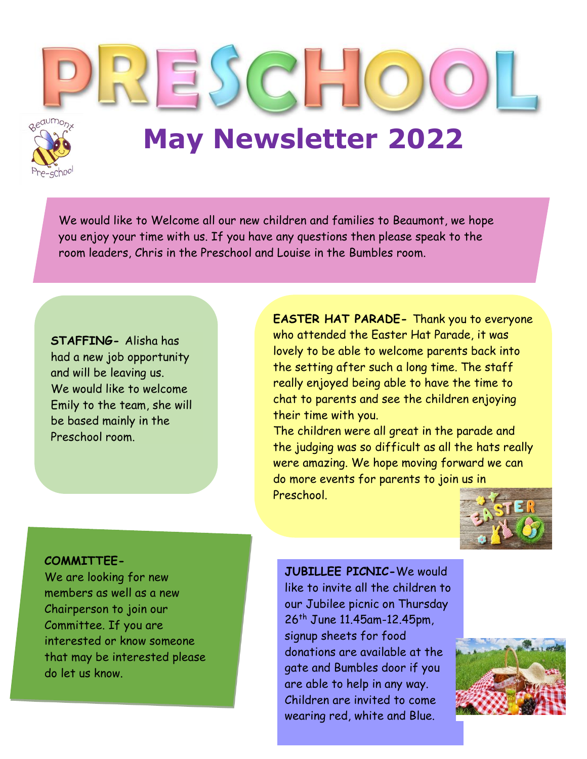$ESC$ **May Newsletter 2022**

We would like to Welcome all our new children and families to Beaumont, we hope you enjoy your time with us. If you have any questions then please speak to the room leaders, Chris in the Preschool and Louise in the Bumbles room.

**STAFFING-** Alisha has had a new job opportunity and will be leaving us. We would like to welcome Emily to the team, she will be based mainly in the Preschool room.

**EASTER HAT PARADE-** Thank you to everyone who attended the Easter Hat Parade, it was lovely to be able to welcome parents back into the setting after such a long time. The staff really enjoyed being able to have the time to chat to parents and see the children enjoying their time with you.

The children were all great in the parade and the judging was so difficult as all the hats really were amazing. We hope moving forward we can do more events for parents to join us in Preschool.



#### **COMMITTEE-**

We are looking for new members as well as a new Chairperson to join our Committee. If you are interested or know someone that may be interested please do let us know.

**JUBILLEE PICNIC-**We would like to invite all the children to our Jubilee picnic on Thursday 26th June 11.45am-12.45pm, signup sheets for food donations are available at the gate and Bumbles door if you are able to help in any way. Children are invited to come wearing red, white and Blue.

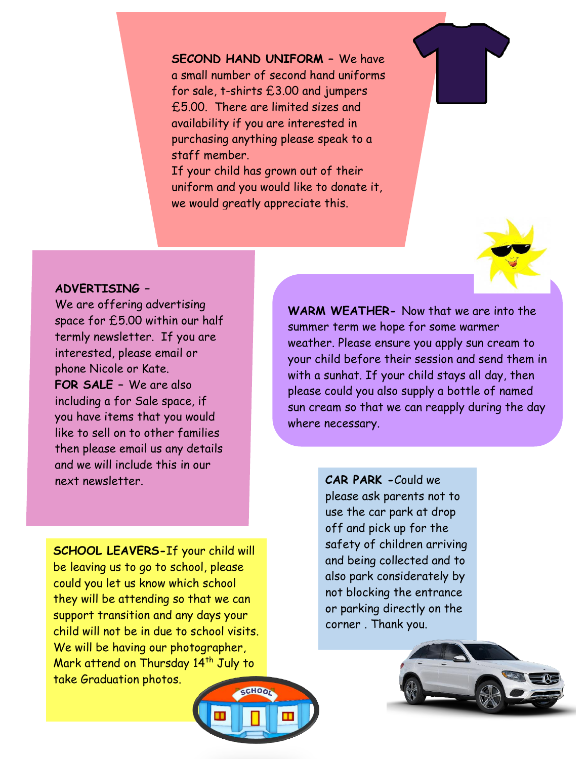**SECOND HAND UNIFORM –** We have a small number of second hand uniforms for sale, t-shirts £3.00 and jumpers £5.00. There are limited sizes and availability if you are interested in purchasing anything please speak to a staff member.

If your child has grown out of their uniform and you would like to donate it, we would greatly appreciate this.



We are offering advertising space for £5.00 within our half termly newsletter. If you are interested, please email or phone Nicole or Kate. **FOR SALE –** We are also including a for Sale space, if you have items that you would like to sell on to other families then please email us any details and we will include this in our next newsletter.

**SCHOOL LEAVERS-**If your child will be leaving us to go to school, please could you let us know which school they will be attending so that we can support transition and any days your child will not be in due to school visits. We will be having our photographer, Mark attend on Thursday 14<sup>th</sup> July to take Graduation photos.

**WARM WEATHER-** Now that we are into the summer term we hope for some warmer weather. Please ensure you apply sun cream to your child before their session and send them in with a sunhat. If your child stays all day, then please could you also supply a bottle of named sun cream so that we can reapply during the day where necessary.

> **CAR PARK -**Could we please ask parents not to use the car park at drop off and pick up for the safety of children arriving and being collected and to also park considerately by not blocking the entrance or parking directly on the corner . Thank you.





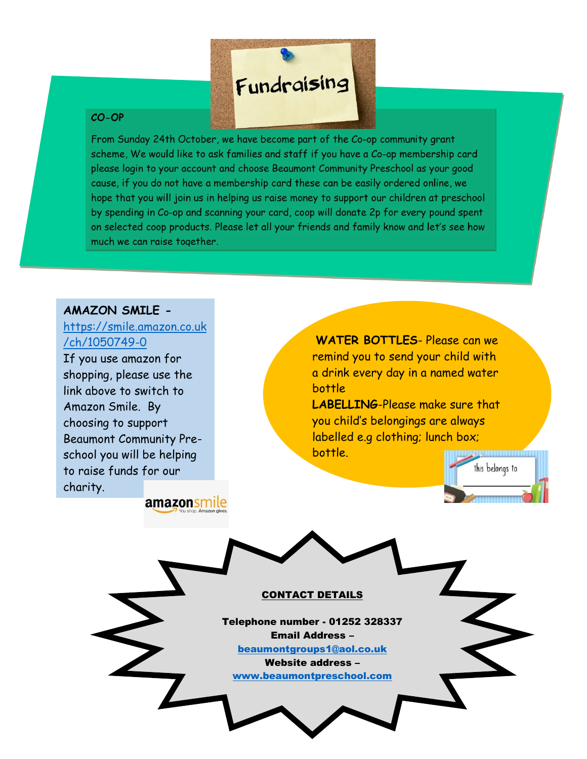

#### $CO-OP$

From Sunday 24th October, we have become part of the Co-op community grant scheme, We would like to ask families and staff if you have a Co-op membership card please login to your account and choose Beaumont Community Preschool as your good cause, if you do not have a membership card these can be easily ordered online, we hope that you will join us in helping us raise money to support our children at preschool by spending in Co-op and scanning your card, coop will donate 2p for every pound spent on selected coop products. Please let all your friends and family know and let's see how much we can raise together.

### **AMAZON SMILE -**

## [https://smile.amazon.co.uk](https://smile.amazon.co.uk/ch/1050749-0) [/ch/1050749-0](https://smile.amazon.co.uk/ch/1050749-0)

If you use amazon for shopping, please use the link above to switch to Amazon Smile. By choosing to support Beaumont Community Preschool you will be helping to raise funds for our charity.

amazonsmile

**WATER BOTTLES**- Please can we remind you to send your child with a drink every day in a named water bottle

**LABELLING**-Please make sure that you child's belongings are always labelled e.g clothing; lunch box; bottle.